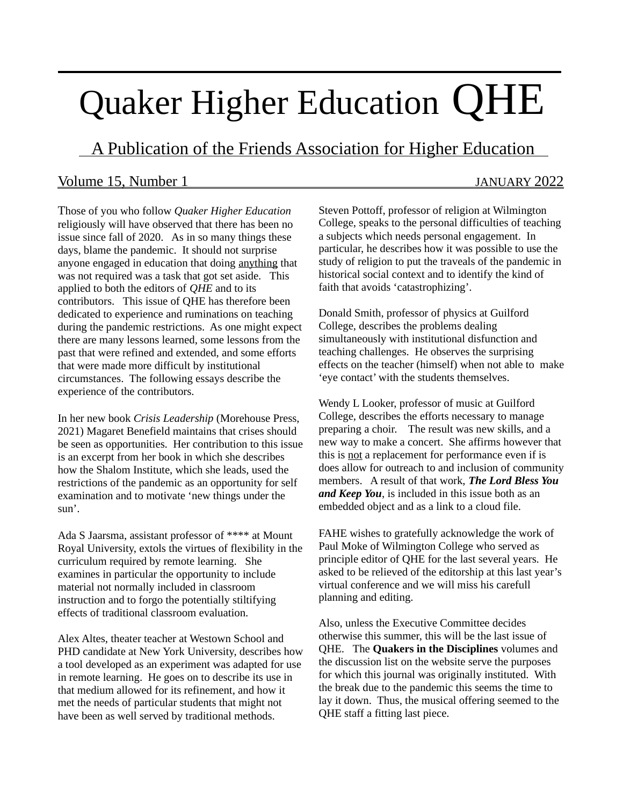# Quaker Higher Education QHE

A Publication of the Friends Association for Higher Education

# Volume 15, Number 1 JANUARY 2022

 $\overline{a}$ 

Those of you who follow *Quaker Higher Education* religiously will have observed that there has been no issue since fall of 2020. As in so many things these days, blame the pandemic. It should not surprise anyone engaged in education that doing anything that was not required was a task that got set aside. This applied to both the editors of *QHE* and to its contributors. This issue of QHE has therefore been dedicated to experience and ruminations on teaching during the pandemic restrictions. As one might expect there are many lessons learned, some lessons from the past that were refined and extended, and some efforts that were made more difficult by institutional circumstances. The following essays describe the experience of the contributors.

In her new book *Crisis Leadership* (Morehouse Press, 2021) Magaret Benefield maintains that crises should be seen as opportunities. Her contribution to this issue is an excerpt from her book in which she describes how the Shalom Institute, which she leads, used the restrictions of the pandemic as an opportunity for self examination and to motivate 'new things under the sun'.

Ada S Jaarsma, assistant professor of \*\*\*\* at Mount Royal University, extols the virtues of flexibility in the curriculum required by remote learning. She examines in particular the opportunity to include material not normally included in classroom instruction and to forgo the potentially stiltifying effects of traditional classroom evaluation.

Alex Altes, theater teacher at Westown School and PHD candidate at New York University, describes how a tool developed as an experiment was adapted for use in remote learning. He goes on to describe its use in that medium allowed for its refinement, and how it met the needs of particular students that might not have been as well served by traditional methods.

Steven Pottoff, professor of religion at Wilmington College, speaks to the personal difficulties of teaching a subjects which needs personal engagement. In particular, he describes how it was possible to use the study of religion to put the traveals of the pandemic in historical social context and to identify the kind of faith that avoids 'catastrophizing'.

Donald Smith, professor of physics at Guilford College, describes the problems dealing simultaneously with institutional disfunction and teaching challenges. He observes the surprising effects on the teacher (himself) when not able to make 'eye contact' with the students themselves.

Wendy L Looker, professor of music at Guilford College, describes the efforts necessary to manage preparing a choir. The result was new skills, and a new way to make a concert. She affirms however that this is not a replacement for performance even if is does allow for outreach to and inclusion of community members. A result of that work, *The Lord Bless You and Keep You*, is included in this issue both as an embedded object and as a link to a cloud file.

FAHE wishes to gratefully acknowledge the work of Paul Moke of Wilmington College who served as principle editor of QHE for the last several years. He asked to be relieved of the editorship at this last year's virtual conference and we will miss his carefull planning and editing.

Also, unless the Executive Committee decides otherwise this summer, this will be the last issue of QHE. The **Quakers in the Disciplines** volumes and the discussion list on the website serve the purposes for which this journal was originally instituted. With the break due to the pandemic this seems the time to lay it down. Thus, the musical offering seemed to the QHE staff a fitting last piece.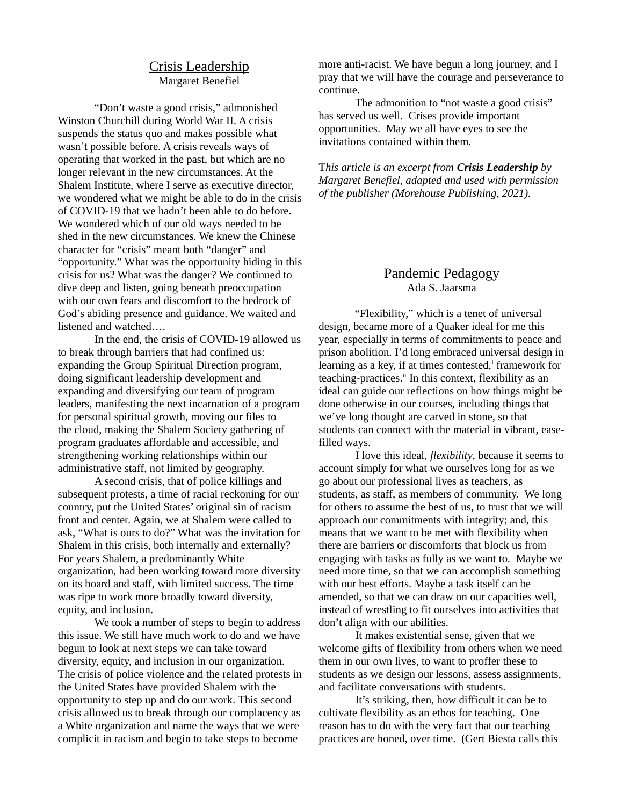## Crisis Leadership Margaret Benefiel

"Don't waste a good crisis," admonished Winston Churchill during World War II. A crisis suspends the status quo and makes possible what wasn't possible before. A crisis reveals ways of operating that worked in the past, but which are no longer relevant in the new circumstances. At the Shalem Institute, where I serve as executive director, we wondered what we might be able to do in the crisis of COVID-19 that we hadn't been able to do before. We wondered which of our old ways needed to be shed in the new circumstances. We knew the Chinese character for "crisis" meant both "danger" and "opportunity." What was the opportunity hiding in this crisis for us? What was the danger? We continued to dive deep and listen, going beneath preoccupation with our own fears and discomfort to the bedrock of God's abiding presence and guidance. We waited and listened and watched….

In the end, the crisis of COVID-19 allowed us to break through barriers that had confined us: expanding the Group Spiritual Direction program, doing significant leadership development and expanding and diversifying our team of program leaders, manifesting the next incarnation of a program for personal spiritual growth, moving our files to the cloud, making the Shalem Society gathering of program graduates affordable and accessible, and strengthening working relationships within our administrative staff, not limited by geography.

A second crisis, that of police killings and subsequent protests, a time of racial reckoning for our country, put the United States' original sin of racism front and center. Again, we at Shalem were called to ask, "What is ours to do?" What was the invitation for Shalem in this crisis, both internally and externally? For years Shalem, a predominantly White organization, had been working toward more diversity on its board and staff, with limited success. The time was ripe to work more broadly toward diversity, equity, and inclusion.

We took a number of steps to begin to address this issue. We still have much work to do and we have begun to look at next steps we can take toward diversity, equity, and inclusion in our organization. The crisis of police violence and the related protests in the United States have provided Shalem with the opportunity to step up and do our work. This second crisis allowed us to break through our complacency as a White organization and name the ways that we were complicit in racism and begin to take steps to become

more anti-racist. We have begun a long journey, and I pray that we will have the courage and perseverance to continue.

The admonition to "not waste a good crisis" has served us well. Crises provide important opportunities. May we all have eyes to see the invitations contained within them.

T*his article is an excerpt from Crisis Leadership by Margaret Benefiel, adapted and used with permission of the publisher (Morehouse Publishing, 2021).*

### Pandemic Pedagogy Ada S. Jaarsma

 $\overline{a}$ 

"Flexibility," which is a tenet of universal design, became more of a Quaker ideal for me this year, especially in terms of commitments to peace and prison abolition. I'd long embraced universal design in learning as a key, if at times contested, framework for teaching-practices.<sup>ii</sup> In this context, flexibility as an ideal can guide our reflections on how things might be done otherwise in our courses, including things that we've long thought are carved in stone, so that students can connect with the material in vibrant, easefilled ways.

I love this ideal, *flexibility*, because it seems to account simply for what we ourselves long for as we go about our professional lives as teachers, as students, as staff, as members of community. We long for others to assume the best of us, to trust that we will approach our commitments with integrity; and, this means that we want to be met with flexibility when there are barriers or discomforts that block us from engaging with tasks as fully as we want to. Maybe we need more time, so that we can accomplish something with our best efforts. Maybe a task itself can be amended, so that we can draw on our capacities well, instead of wrestling to fit ourselves into activities that don't align with our abilities.

It makes existential sense, given that we welcome gifts of flexibility from others when we need them in our own lives, to want to proffer these to students as we design our lessons, assess assignments, and facilitate conversations with students.

It's striking, then, how difficult it can be to cultivate flexibility as an ethos for teaching. One reason has to do with the very fact that our teaching practices are honed, over time. (Gert Biesta calls this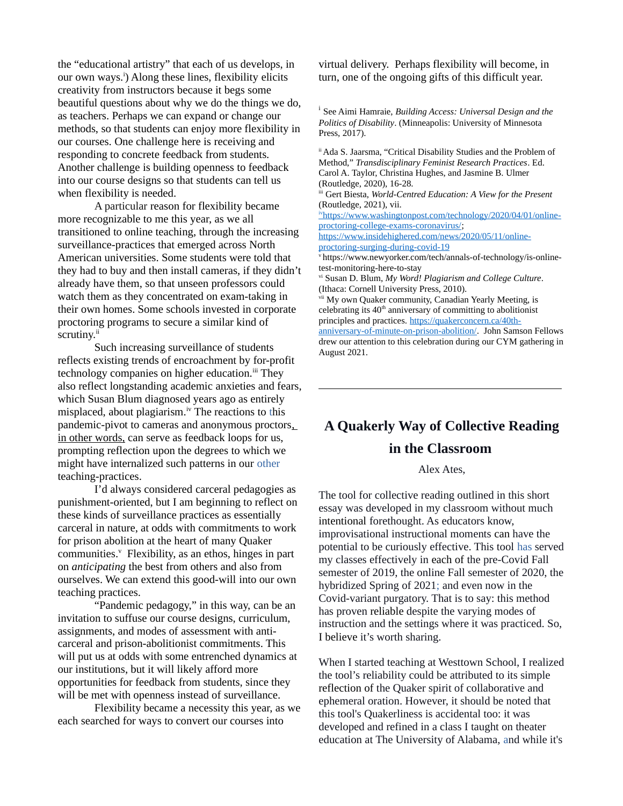the "educational artistry" that each of us develops, in our own ways.<sup>i</sup>) Along these lines, flexibility elicits creativity from instructors because it begs some beautiful questions about why we do the things we do, as teachers. Perhaps we can expand or change our methods, so that students can enjoy more flexibility in our courses. One challenge here is receiving and responding to concrete feedback from students. Another challenge is building openness to feedback into our course designs so that students can tell us when flexibility is needed.

A particular reason for flexibility became more recognizable to me this year, as we all transitioned to online teaching, through the increasing surveillance-practices that emerged across North American universities. Some students were told that they had to buy and then install cameras, if they didn't already have them, so that unseen professors could watch them as they concentrated on exam-taking in their own homes. Some schools invested in corporate proctoring programs to secure a similar kind of scrutiny.<sup>ii</sup>

Such increasing surveillance of students reflects existing trends of encroachment by for-profit technology companies on higher education.<sup>iii</sup> They also reflect longstanding academic anxieties and fears, which Susan Blum diagnosed years ago as entirely misplaced, about plagiarism.<sup>iv</sup> The reactions to this pandemic-pivot to cameras and anonymous proctors, in other words, can serve as feedback loops for us, prompting reflection upon the degrees to which we might have internalized such patterns in our other teaching-practices.

I'd always considered carceral pedagogies as punishment-oriented, but I am beginning to reflect on these kinds of surveillance practices as essentially carceral in nature, at odds with commitments to work for prison abolition at the heart of many Quaker communities.<sup>v</sup> Flexibility, as an ethos, hinges in part on *anticipating* the best from others and also from ourselves. We can extend this good-will into our own teaching practices.

"Pandemic pedagogy," in this way, can be an invitation to suffuse our course designs, curriculum, assignments, and modes of assessment with anticarceral and prison-abolitionist commitments. This will put us at odds with some entrenched dynamics at our institutions, but it will likely afford more opportunities for feedback from students, since they will be met with openness instead of surveillance.

Flexibility became a necessity this year, as we each searched for ways to convert our courses into

virtual delivery. Perhaps flexibility will become, in turn, one of the ongoing gifts of this difficult year.

i See Aimi Hamraie, *Building Access: Universal Design and the Politics of Disability*. (Minneapolis: University of Minnesota Press, 2017).

ii Ada S. Jaarsma, "Critical Disability Studies and the Problem of Method," *Transdisciplinary Feminist Research Practices*. Ed. Carol A. Taylor, Christina Hughes, and Jasmine B. Ulmer (Routledge, 2020), 16-28.

iii Gert Biesta, *World-Centred Education: A View for the Present* (Routledge, 2021), vii.

iv [https://www.washingtonpost.com/technology/2020/04/01/online](https://www.washingtonpost.com/technology/2020/04/01/online-proctoring-college-exams-coronavirus/)[proctoring-college-exams-coronavirus/;](https://www.washingtonpost.com/technology/2020/04/01/online-proctoring-college-exams-coronavirus/)

[https://www.insidehighered.com/news/2020/05/11/online](https://www.insidehighered.com/news/2020/05/11/online-proctoring-surging-during-covid-19)[proctoring-surging-during-covid-19](https://www.insidehighered.com/news/2020/05/11/online-proctoring-surging-during-covid-19)

v https://www.newyorker.com/tech/annals-of-technology/is-onlinetest-monitoring-here-to-stay

vi Susan D. Blum, *My Word! Plagiarism and College Culture*. (Ithaca: Cornell University Press, 2010).

My own Quaker community, Canadian Yearly Meeting, is celebrating its  $40<sup>th</sup>$  anniversary of committing to abolitionist principles and practices. [https://quakerconcern.ca/40th-](https://quakerconcern.ca/40th-anniversary-of-minute-on-prison-abolition/)

 $\overline{a}$ 

[anniversary-of-minute-on-prison-abolition/.](https://quakerconcern.ca/40th-anniversary-of-minute-on-prison-abolition/) John Samson Fellows drew our attention to this celebration during our CYM gathering in August 2021.

# **A Quakerly Way of Collective Reading in the Classroom**

Alex Ates,

The tool for collective reading outlined in this short essay was developed in my classroom without much intentional forethought. As educators know, improvisational instructional moments can have the potential to be curiously effective. This tool has served my classes effectively in each of the pre-Covid Fall semester of 2019, the online Fall semester of 2020, the hybridized Spring of 2021; and even now in the Covid-variant purgatory. That is to say: this method has proven reliable despite the varying modes of instruction and the settings where it was practiced. So, I believe it's worth sharing*.*

When I started teaching at Westtown School, I realized the tool's reliability could be attributed to its simple reflection of the Quaker spirit of collaborative and ephemeral oration. However, it should be noted that this tool's Quakerliness is accidental too: it was developed and refined in a class I taught on theater education at The University of Alabama, and while it's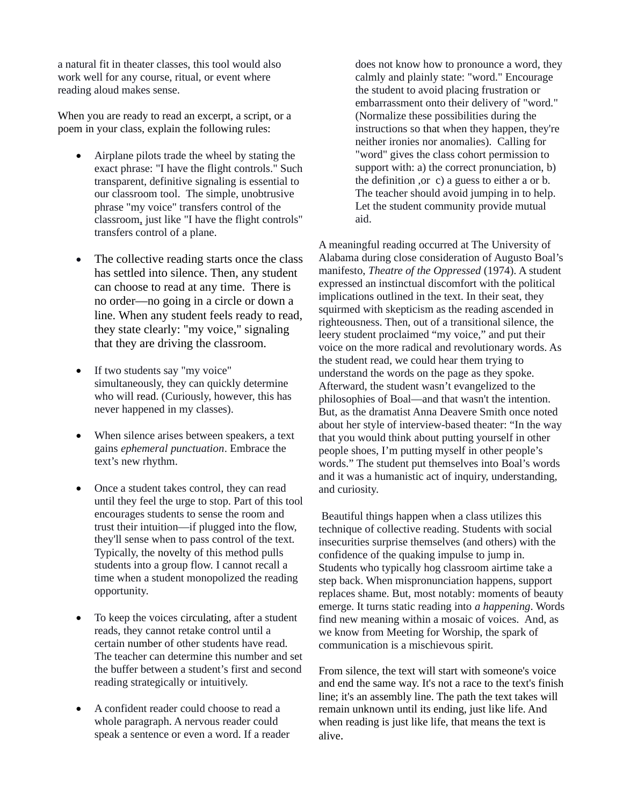a natural fit in theater classes, this tool would also work well for any course, ritual, or event where reading aloud makes sense.

When you are ready to read an excerpt, a script, or a poem in your class, explain the following rules:

- Airplane pilots trade the wheel by stating the exact phrase: "I have the flight controls." Such transparent, definitive signaling is essential to our classroom tool. The simple, unobtrusive phrase "my voice" transfers control of the classroom, just like "I have the flight controls" transfers control of a plane.
- The collective reading starts once the class has settled into silence. Then, any student can choose to read at any time. There is no order—no going in a circle or down a line. When any student feels ready to read, they state clearly: "my voice," signaling that they are driving the classroom.
- If two students say "my voice" simultaneously, they can quickly determine who will read. (Curiously, however, this has never happened in my classes).
- When silence arises between speakers, a text gains *ephemeral punctuation*. Embrace the text's new rhythm.
- Once a student takes control, they can read until they feel the urge to stop. Part of this tool encourages students to sense the room and trust their intuition—if plugged into the flow, they'll sense when to pass control of the text. Typically, the novelty of this method pulls students into a group flow. I cannot recall a time when a student monopolized the reading opportunity.
- To keep the voices circulating, after a student reads, they cannot retake control until a certain number of other students have read. The teacher can determine this number and set the buffer between a student's first and second reading strategically or intuitively.
- A confident reader could choose to read a whole paragraph. A nervous reader could speak a sentence or even a word. If a reader

does not know how to pronounce a word, they calmly and plainly state: "word." Encourage the student to avoid placing frustration or embarrassment onto their delivery of "word." (Normalize these possibilities during the instructions so that when they happen, they're neither ironies nor anomalies). Calling for "word" gives the class cohort permission to support with: a) the correct pronunciation, b) the definition ,or c) a guess to either a or b. The teacher should avoid jumping in to help. Let the student community provide mutual aid.

A meaningful reading occurred at The University of Alabama during close consideration of Augusto Boal's manifesto, *Theatre of the Oppressed* (1974). A student expressed an instinctual discomfort with the political implications outlined in the text. In their seat, they squirmed with skepticism as the reading ascended in righteousness. Then, out of a transitional silence, the leery student proclaimed "my voice," and put their voice on the more radical and revolutionary words. As the student read, we could hear them trying to understand the words on the page as they spoke. Afterward, the student wasn't evangelized to the philosophies of Boal—and that wasn't the intention. But, as the dramatist Anna Deavere Smith once noted about her style of interview-based theater: "In the way that you would think about putting yourself in other people shoes, I'm putting myself in other people's words." The student put themselves into Boal's words and it was a humanistic act of inquiry, understanding, and curiosity.

Beautiful things happen when a class utilizes this technique of collective reading. Students with social insecurities surprise themselves (and others) with the confidence of the quaking impulse to jump in. Students who typically hog classroom airtime take a step back. When mispronunciation happens, support replaces shame. But, most notably: moments of beauty emerge. It turns static reading into *a happening*. Words find new meaning within a mosaic of voices. And, as we know from Meeting for Worship, the spark of communication is a mischievous spirit.

From silence, the text will start with someone's voice and end the same way. It's not a race to the text's finish line; it's an assembly line. The path the text takes will remain unknown until its ending, just like life. And when reading is just like life, that means the text is alive.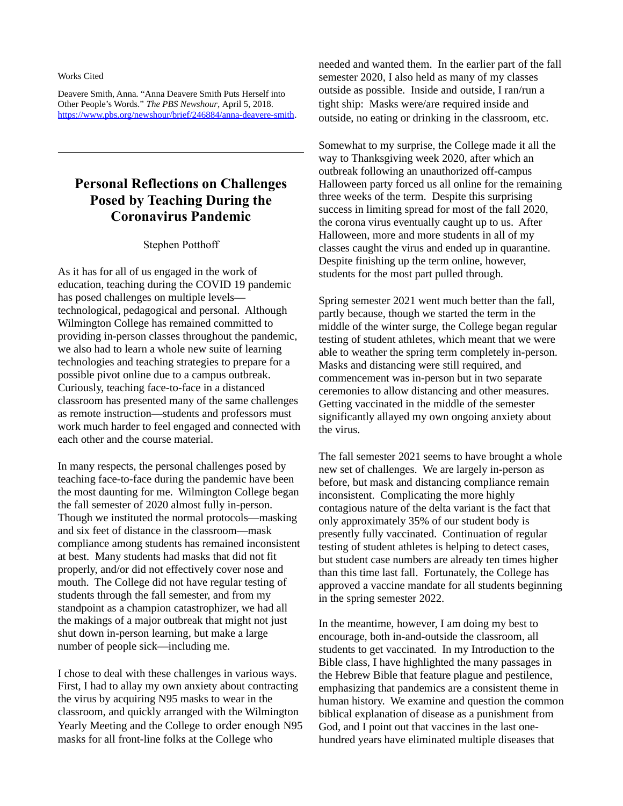#### Works Cited

 $\overline{a}$ 

Deavere Smith, Anna. "Anna Deavere Smith Puts Herself into Other People's Words." *The PBS Newshour*, April 5, 2018. <https://www.pbs.org/newshour/brief/246884/anna-deavere-smith>.

# **Personal Reflections on Challenges Posed by Teaching During the Coronavirus Pandemic**

#### Stephen Potthoff

As it has for all of us engaged in the work of education, teaching during the COVID 19 pandemic has posed challenges on multiple levels technological, pedagogical and personal. Although Wilmington College has remained committed to providing in-person classes throughout the pandemic, we also had to learn a whole new suite of learning technologies and teaching strategies to prepare for a possible pivot online due to a campus outbreak. Curiously, teaching face-to-face in a distanced classroom has presented many of the same challenges as remote instruction—students and professors must work much harder to feel engaged and connected with each other and the course material.

In many respects, the personal challenges posed by teaching face-to-face during the pandemic have been the most daunting for me. Wilmington College began the fall semester of 2020 almost fully in-person. Though we instituted the normal protocols—masking and six feet of distance in the classroom—mask compliance among students has remained inconsistent at best. Many students had masks that did not fit properly, and/or did not effectively cover nose and mouth. The College did not have regular testing of students through the fall semester, and from my standpoint as a champion catastrophizer, we had all the makings of a major outbreak that might not just shut down in-person learning, but make a large number of people sick—including me.

I chose to deal with these challenges in various ways. First, I had to allay my own anxiety about contracting the virus by acquiring N95 masks to wear in the classroom, and quickly arranged with the Wilmington Yearly Meeting and the College to order enough N95 masks for all front-line folks at the College who

needed and wanted them. In the earlier part of the fall semester 2020, I also held as many of my classes outside as possible. Inside and outside, I ran/run a tight ship: Masks were/are required inside and outside, no eating or drinking in the classroom, etc.

Somewhat to my surprise, the College made it all the way to Thanksgiving week 2020, after which an outbreak following an unauthorized off-campus Halloween party forced us all online for the remaining three weeks of the term. Despite this surprising success in limiting spread for most of the fall 2020, the corona virus eventually caught up to us. After Halloween, more and more students in all of my classes caught the virus and ended up in quarantine. Despite finishing up the term online, however, students for the most part pulled through.

Spring semester 2021 went much better than the fall, partly because, though we started the term in the middle of the winter surge, the College began regular testing of student athletes, which meant that we were able to weather the spring term completely in-person. Masks and distancing were still required, and commencement was in-person but in two separate ceremonies to allow distancing and other measures. Getting vaccinated in the middle of the semester significantly allayed my own ongoing anxiety about the virus.

The fall semester 2021 seems to have brought a whole new set of challenges. We are largely in-person as before, but mask and distancing compliance remain inconsistent. Complicating the more highly contagious nature of the delta variant is the fact that only approximately 35% of our student body is presently fully vaccinated. Continuation of regular testing of student athletes is helping to detect cases, but student case numbers are already ten times higher than this time last fall. Fortunately, the College has approved a vaccine mandate for all students beginning in the spring semester 2022.

In the meantime, however, I am doing my best to encourage, both in-and-outside the classroom, all students to get vaccinated. In my Introduction to the Bible class, I have highlighted the many passages in the Hebrew Bible that feature plague and pestilence, emphasizing that pandemics are a consistent theme in human history. We examine and question the common biblical explanation of disease as a punishment from God, and I point out that vaccines in the last onehundred years have eliminated multiple diseases that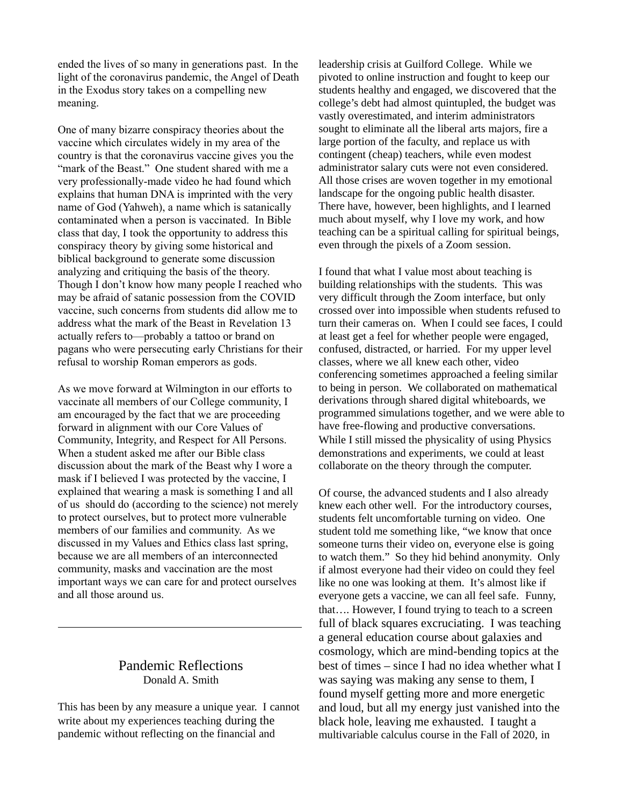ended the lives of so many in generations past. In the light of the coronavirus pandemic, the Angel of Death in the Exodus story takes on a compelling new meaning.

One of many bizarre conspiracy theories about the vaccine which circulates widely in my area of the country is that the coronavirus vaccine gives you the "mark of the Beast." One student shared with me a very professionally-made video he had found which explains that human DNA is imprinted with the very name of God (Yahweh), a name which is satanically contaminated when a person is vaccinated. In Bible class that day, I took the opportunity to address this conspiracy theory by giving some historical and biblical background to generate some discussion analyzing and critiquing the basis of the theory. Though I don't know how many people I reached who may be afraid of satanic possession from the COVID vaccine, such concerns from students did allow me to address what the mark of the Beast in Revelation 13 actually refers to—probably a tattoo or brand on pagans who were persecuting early Christians for their refusal to worship Roman emperors as gods.

As we move forward at Wilmington in our efforts to vaccinate all members of our College community, I am encouraged by the fact that we are proceeding forward in alignment with our Core Values of Community, Integrity, and Respect for All Persons. When a student asked me after our Bible class discussion about the mark of the Beast why I wore a mask if I believed I was protected by the vaccine, I explained that wearing a mask is something I and all of us should do (according to the science) not merely to protect ourselves, but to protect more vulnerable members of our families and community. As we discussed in my Values and Ethics class last spring, because we are all members of an interconnected community, masks and vaccination are the most important ways we can care for and protect ourselves and all those around us.

# Pandemic Reflections Donald A. Smith

 $\overline{a}$ 

This has been by any measure a unique year. I cannot write about my experiences teaching during the pandemic without reflecting on the financial and

leadership crisis at Guilford College. While we pivoted to online instruction and fought to keep our students healthy and engaged, we discovered that the college's debt had almost quintupled, the budget was vastly overestimated, and interim administrators sought to eliminate all the liberal arts majors, fire a large portion of the faculty, and replace us with contingent (cheap) teachers, while even modest administrator salary cuts were not even considered. All those crises are woven together in my emotional landscape for the ongoing public health disaster. There have, however, been highlights, and I learned much about myself, why I love my work, and how teaching can be a spiritual calling for spiritual beings, even through the pixels of a Zoom session.

I found that what I value most about teaching is building relationships with the students. This was very difficult through the Zoom interface, but only crossed over into impossible when students refused to turn their cameras on. When I could see faces, I could at least get a feel for whether people were engaged, confused, distracted, or harried. For my upper level classes, where we all knew each other, video conferencing sometimes approached a feeling similar to being in person. We collaborated on mathematical derivations through shared digital whiteboards, we programmed simulations together, and we were able to have free-flowing and productive conversations. While I still missed the physicality of using Physics demonstrations and experiments, we could at least collaborate on the theory through the computer.

Of course, the advanced students and I also already knew each other well. For the introductory courses, students felt uncomfortable turning on video. One student told me something like, "we know that once someone turns their video on, everyone else is going to watch them." So they hid behind anonymity. Only if almost everyone had their video on could they feel like no one was looking at them. It's almost like if everyone gets a vaccine, we can all feel safe. Funny, that…. However, I found trying to teach to a screen full of black squares excruciating. I was teaching a general education course about galaxies and cosmology, which are mind-bending topics at the best of times – since I had no idea whether what I was saying was making any sense to them, I found myself getting more and more energetic and loud, but all my energy just vanished into the black hole, leaving me exhausted. I taught a multivariable calculus course in the Fall of 2020, in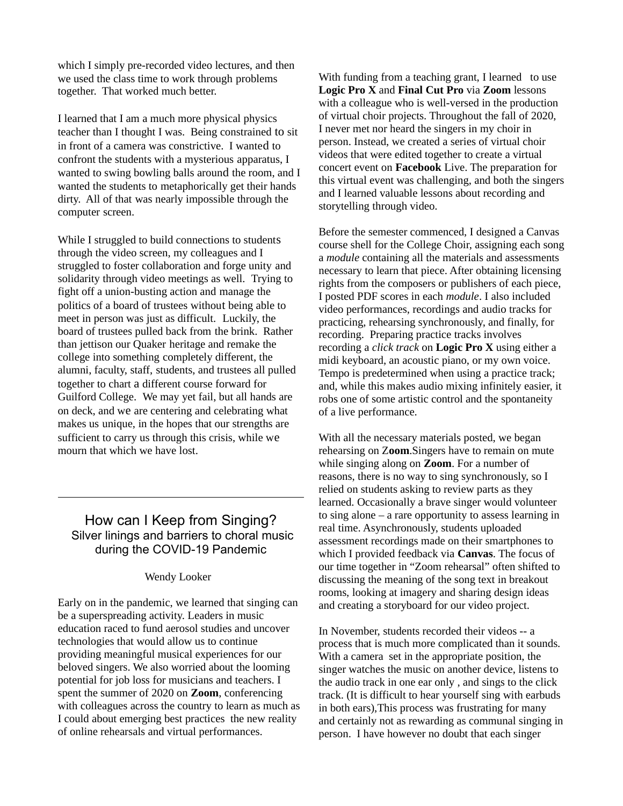which I simply pre-recorded video lectures, and then we used the class time to work through problems together. That worked much better.

I learned that I am a much more physical physics teacher than I thought I was. Being constrained to sit in front of a camera was constrictive. I wanted to confront the students with a mysterious apparatus, I wanted to swing bowling balls around the room, and I wanted the students to metaphorically get their hands dirty. All of that was nearly impossible through the computer screen.

While I struggled to build connections to students through the video screen, my colleagues and I struggled to foster collaboration and forge unity and solidarity through video meetings as well. Trying to fight off a union-busting action and manage the politics of a board of trustees without being able to meet in person was just as difficult. Luckily, the board of trustees pulled back from the brink. Rather than jettison our Quaker heritage and remake the college into something completely different, the alumni, faculty, staff, students, and trustees all pulled together to chart a different course forward for Guilford College. We may yet fail, but all hands are on deck, and we are centering and celebrating what makes us unique, in the hopes that our strengths are sufficient to carry us through this crisis, while we mourn that which we have lost.

# How can I Keep from Singing? Silver linings and barriers to choral music during the COVID-19 Pandemic

 $\overline{a}$ 

#### Wendy Looker

Early on in the pandemic, we learned that singing can be a superspreading activity. Leaders in music education raced to fund aerosol studies and uncover technologies that would allow us to continue providing meaningful musical experiences for our beloved singers. We also worried about the looming potential for job loss for musicians and teachers. I spent the summer of 2020 on **Zoom**, conferencing with colleagues across the country to learn as much as I could about emerging best practices the new reality of online rehearsals and virtual performances.

With funding from a teaching grant, I learned to use **Logic Pro X** and **Final Cut Pro** via **Zoom** lessons with a colleague who is well-versed in the production of virtual choir projects. Throughout the fall of 2020, I never met nor heard the singers in my choir in person. Instead, we created a series of virtual choir videos that were edited together to create a virtual concert event on **Facebook** Live. The preparation for this virtual event was challenging, and both the singers and I learned valuable lessons about recording and storytelling through video.

Before the semester commenced, I designed a Canvas course shell for the College Choir, assigning each song a *module* containing all the materials and assessments necessary to learn that piece. After obtaining licensing rights from the composers or publishers of each piece, I posted PDF scores in each *module*. I also included video performances, recordings and audio tracks for practicing, rehearsing synchronously, and finally, for recording. Preparing practice tracks involves recording a *click track* on **Logic Pro X** using either a midi keyboard, an acoustic piano, or my own voice. Tempo is predetermined when using a practice track; and, while this makes audio mixing infinitely easier, it robs one of some artistic control and the spontaneity of a live performance.

With all the necessary materials posted, we began rehearsing on Z**oom**.Singers have to remain on mute while singing along on **Zoom**. For a number of reasons, there is no way to sing synchronously, so I relied on students asking to review parts as they learned. Occasionally a brave singer would volunteer to sing alone – a rare opportunity to assess learning in real time. Asynchronously, students uploaded assessment recordings made on their smartphones to which I provided feedback via **Canvas**. The focus of our time together in "Zoom rehearsal" often shifted to discussing the meaning of the song text in breakout rooms, looking at imagery and sharing design ideas and creating a storyboard for our video project.

In November, students recorded their videos -- a process that is much more complicated than it sounds. With a camera set in the appropriate position, the singer watches the music on another device, listens to the audio track in one ear only , and sings to the click track. (It is difficult to hear yourself sing with earbuds in both ears),This process was frustrating for many and certainly not as rewarding as communal singing in person. I have however no doubt that each singer